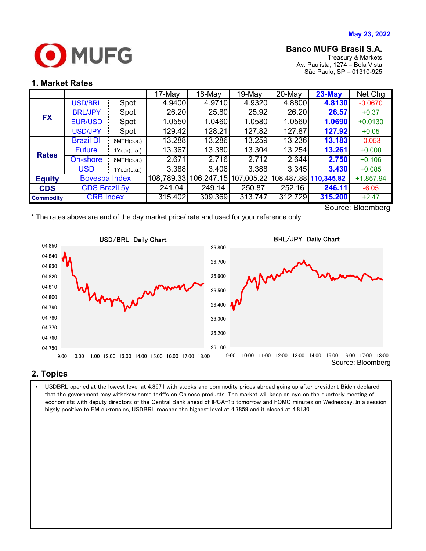

## **Banco MUFG Brasil S.A.**

Treasury & Markets Av. Paulista, 1274 – Bela Vista São Paulo, SP – 01310-925

#### **1. Market Rates**

|                                                     |                      |             | 17-May     | 18-May                | $19-Mav$ | $20$ -May | $23$ -May             | Net Chg     |
|-----------------------------------------------------|----------------------|-------------|------------|-----------------------|----------|-----------|-----------------------|-------------|
| <b>FX</b>                                           | <b>USD/BRL</b>       | Spot        | 4.9400     | 4.9710                | 4.9320   | 4.8800    | 4.8130                | $-0.0670$   |
|                                                     | <b>BRL/JPY</b>       | Spot        | 26.20      | 25.80                 | 25.92    | 26.20     | 26.57                 | $+0.37$     |
|                                                     | <b>EUR/USD</b>       | Spot        | 1.0550     | 1.0460                | 1.0580   | 1.0560    | 1.0690                | $+0.0130$   |
|                                                     | <b>USD/JPY</b>       | Spot        | 129.42     | 128.21                | 127.82   | 127.87    | 127.92                | $+0.05$     |
| <b>Rates</b>                                        | <b>Brazil DI</b>     | 6MTH(p.a.)  | 13.288     | 13.286                | 13.259   | 13.236    | 13.183                | $-0.053$    |
|                                                     | <b>Future</b>        | 1Year(p.a.) | 13.367     | 13.380                | 13.304   | 13.254    | 13.261                | $+0.008$    |
|                                                     | On-shore             | 6MTH(p.a.)  | 2.671      | 2.716                 | 2.712    | 2.644     | 2.750                 | $+0.106$    |
|                                                     | <b>USD</b>           | 1Year(p.a.) | 3.388      | 3.406                 | 3.388    | 3.345     | 3.430                 | $+0.085$    |
| <b>Equity</b>                                       | <b>Bovespa Index</b> |             | 108,789.33 | 106,247.15 107,005.22 |          |           | 108,487.88 110,345.82 | $+1,857.94$ |
| <b>CDS</b>                                          | <b>CDS Brazil 5y</b> |             | 241.04     | 249.14                | 250.87   | 252.16    | 246.11                | $-6.05$     |
| <b>Commodity</b>                                    | <b>CRB</b> Index     |             | 315.402    | 309.369               | 313.747  | 312.729   | 315.200               | $+2.47$     |
| S <sub>OM</sub> rr <sub>0</sub><br><b>Rloombarg</b> |                      |             |            |                       |          |           |                       |             |

Source: Bloomberg

\* The rates above are end of the day market price/ rate and used for your reference only



## **2. Topics**

 highly positive to EM currencies, USDBRL reached the highest level at 4.7859 and it closed at 4.8130. • USDBRL opened at the lowest level at 4.8671 with stocks and commodity prices abroad going up after president Biden declared that the government may withdraw some tariffs on Chinese products. The market will keep an eye on the quarterly meeting of economists with deputy directors of the Central Bank ahead of IPCA-15 tomorrow and FOMC minutes on Wednesday. In a session